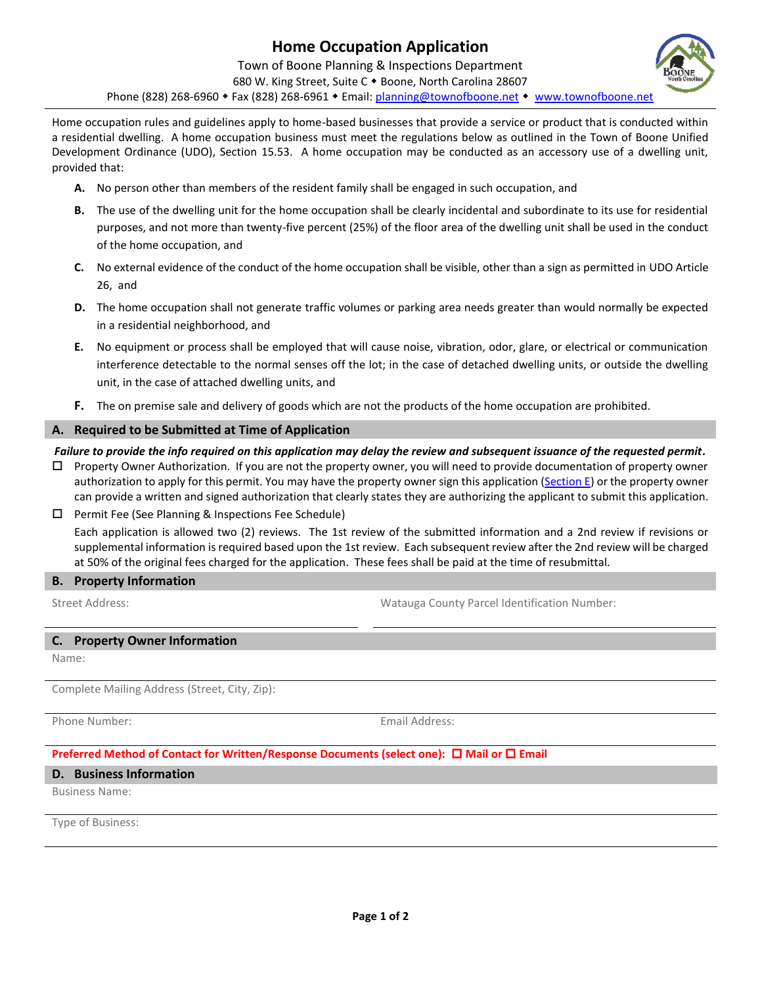

- **A.** No person other than members of the resident family shall be engaged in such occupation, and
- **B.** The use of the dwelling unit for the home occupation shall be clearly incidental and subordinate to its use for residential purposes, and not more than twenty-five percent (25%) of the floor area of the dwelling unit shall be used in the conduct of the home occupation, and
- **C.** No external evidence of the conduct of the home occupation shall be visible, other than a sign as permitted in UDO Article 26, and
- **D.** The home occupation shall not generate traffic volumes or parking area needs greater than would normally be expected in a residential neighborhood, and
- **E.** No equipment or process shall be employed that will cause noise, vibration, odor, glare, or electrical or communication interference detectable to the normal senses off the lot; in the case of detached dwelling units, or outside the dwelling unit, in the case of attached dwelling units, and
- **F.** The on premise sale and delivery of goods which are not the products of the home occupation are prohibited.

## **A. Required to be Submitted at Time of Application**

### *Failure to provide the info required on this application may delay the review and subsequent issuance of the requested permit.*

- $\Box$  Property Owner Authorization. If you are not the property owner, you will need to provide documentation of property owner authorization to apply for this permit. You may have the property owner sign this application [\(Section E\)](#page-1-0) or the property owner can provide a written and signed authorization that clearly states they are authorizing the applicant to submit this application.
- $\Box$  Permit Fee (See Planning & Inspections Fee Schedule) Each application is allowed two (2) reviews. The 1st review of the submitted information and a 2nd review if revisions or supplemental information is required based upon the 1st review. Each subsequent review after the 2nd review will be charged at 50% of the original fees charged for the application. These fees shall be paid at the time of resubmittal.

#### **B. Property Information**

Street Address: Watauga County Parcel Identification Number:

#### **C. Property Owner Information**

Name:

Complete Mailing Address (Street, City, Zip):

Phone Number: Email Address:

# **Preferred Method of Contact for Written/Response Documents (select one): □ Mail or □ Email**

#### **D. Business Information**

Business Name:

Type of Business: